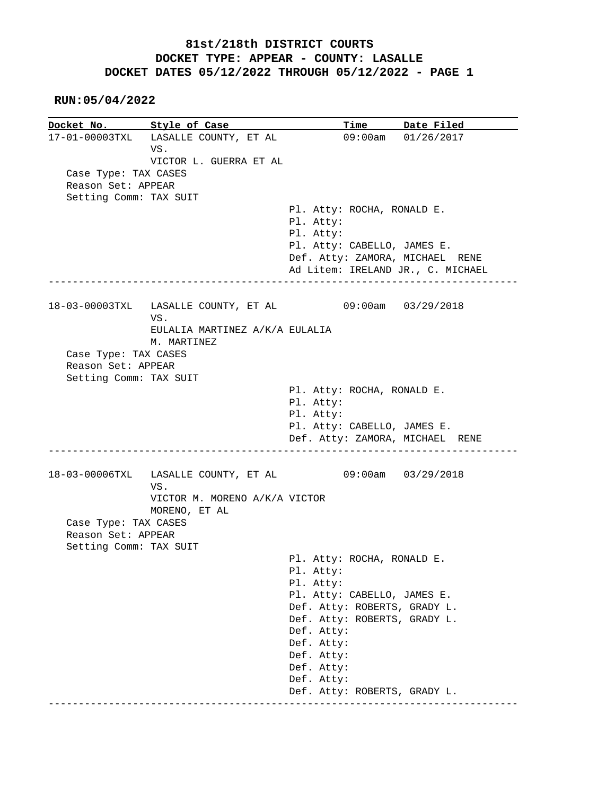#### **RUN:05/04/2022**

**Docket No. Style of Case Time Date Filed** 17-01-00003TXL LASALLE COUNTY, ET AL 09:00am 01/26/2017 17-01-00003TXL LASALLE COUNTY, ET AL VS. VICTOR L. GUERRA ET AL Case Type: TAX CASES Reason Set: APPEAR Setting Comm: TAX SUIT Pl. Atty: ROCHA, RONALD E. Pl. Atty: Pl. Atty: Pl. Atty: CABELLO, JAMES E. Def. Atty: ZAMORA, MICHAEL RENE Ad Litem: IRELAND JR., C. MICHAEL ------------------------------------------------------------------------------ 18-03-00003TXL LASALLE COUNTY, ET AL 09:00am 03/29/2018 VS. EULALIA MARTINEZ A/K/A EULALIA M. MARTINEZ Case Type: TAX CASES Reason Set: APPEAR Setting Comm: TAX SUIT Pl. Atty: ROCHA, RONALD E. Pl. Atty: Pl. Atty: Pl. Atty: CABELLO, JAMES E. Def. Atty: ZAMORA, MICHAEL RENE ------------------------------------------------------------------------------ 18-03-00006TXL LASALLE COUNTY, ET AL 09:00am 03/29/2018 VS. VICTOR M. MORENO A/K/A VICTOR MORENO, ET AL Case Type: TAX CASES Reason Set: APPEAR Setting Comm: TAX SUIT Pl. Atty: ROCHA, RONALD E. Pl. Atty: Pl. Atty: Pl. Atty: CABELLO, JAMES E. Def. Atty: ROBERTS, GRADY L. Def. Atty: ROBERTS, GRADY L. Def. Atty: Def. Atty: Def. Atty: Def. Atty: Def. Atty: Def. Atty: ROBERTS, GRADY L. ------------------------------------------------------------------------------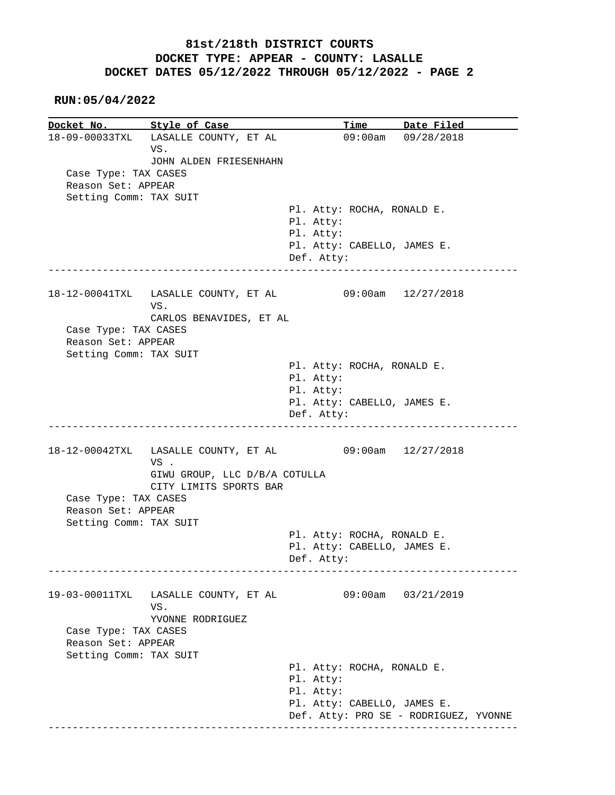#### **RUN:05/04/2022**

**Docket No. Style of Case Time Date Filed**<br>18-09-00033TXL LASALLE COUNTY, ET AL 09:00am 09/28/2018 18-09-00033TXL LASALLE COUNTY, ET AL VS. JOHN ALDEN FRIESENHAHN Case Type: TAX CASES Reason Set: APPEAR Setting Comm: TAX SUIT Pl. Atty: ROCHA, RONALD E. Pl. Atty: Pl. Atty: Pl. Atty: CABELLO, JAMES E. Def. Atty: ------------------------------------------------------------------------------ 18-12-00041TXL LASALLE COUNTY, ET AL 09:00am 12/27/2018 VS. CARLOS BENAVIDES, ET AL Case Type: TAX CASES Reason Set: APPEAR Setting Comm: TAX SUIT Pl. Atty: ROCHA, RONALD E. Pl. Atty: Pl. Atty: Pl. Atty: CABELLO, JAMES E. Def. Atty: ------------------------------------------------------------------------------ 18-12-00042TXL LASALLE COUNTY, ET AL 09:00am 12/27/2018 VS . GIWU GROUP, LLC D/B/A COTULLA CITY LIMITS SPORTS BAR Case Type: TAX CASES Reason Set: APPEAR Setting Comm: TAX SUIT Pl. Atty: ROCHA, RONALD E. Pl. Atty: CABELLO, JAMES E. Def. Atty: ------------------------------------------------------------------------------ 19-03-00011TXL LASALLE COUNTY, ET AL 09:00am 03/21/2019 VS. YVONNE RODRIGUEZ Case Type: TAX CASES Reason Set: APPEAR Setting Comm: TAX SUIT Pl. Atty: ROCHA, RONALD E. Pl. Atty: Pl. Atty: Pl. Atty: CABELLO, JAMES E. Def. Atty: PRO SE - RODRIGUEZ, YVONNE ------------------------------------------------------------------------------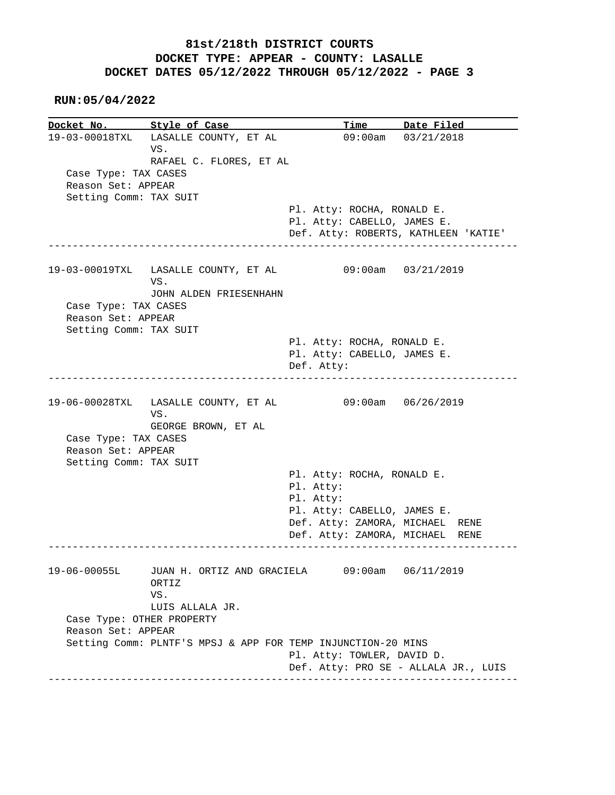**RUN:05/04/2022**

**Docket No. Style of Case Time Date Filed** 19-03-00018TXL LASALLE COUNTY, ET AL 09:00am 03/21/2018 19-03-00018TXL LASALLE COUNTY, ET AL VS. RAFAEL C. FLORES, ET AL Case Type: TAX CASES Reason Set: APPEAR Setting Comm: TAX SUIT Pl. Atty: ROCHA, RONALD E. Pl. Atty: CABELLO, JAMES E. Def. Atty: ROBERTS, KATHLEEN 'KATIE' ------------------------------------------------------------------------------ 19-03-00019TXL LASALLE COUNTY, ET AL 09:00am 03/21/2019 VS. JOHN ALDEN FRIESENHAHN Case Type: TAX CASES Reason Set: APPEAR Setting Comm: TAX SUIT Pl. Atty: ROCHA, RONALD E. Pl. Atty: CABELLO, JAMES E. Def. Atty: ------------------------------------------------------------------------------ 19-06-00028TXL LASALLE COUNTY, ET AL 09:00am 06/26/2019 VS. GEORGE BROWN, ET AL Case Type: TAX CASES Reason Set: APPEAR Setting Comm: TAX SUIT Pl. Atty: ROCHA, RONALD E. Pl. Atty: Pl. Atty: Pl. Atty: CABELLO, JAMES E. Def. Atty: ZAMORA, MICHAEL RENE Def. Atty: ZAMORA, MICHAEL RENE ------------------------------------------------------------------------------ 19-06-00055L JUAN H. ORTIZ AND GRACIELA 09:00am 06/11/2019 ORTIZ VS. LUIS ALLALA JR. Case Type: OTHER PROPERTY Reason Set: APPEAR Setting Comm: PLNTF'S MPSJ & APP FOR TEMP INJUNCTION-20 MINS Pl. Atty: TOWLER, DAVID D. Def. Atty: PRO SE - ALLALA JR., LUIS ------------------------------------------------------------------------------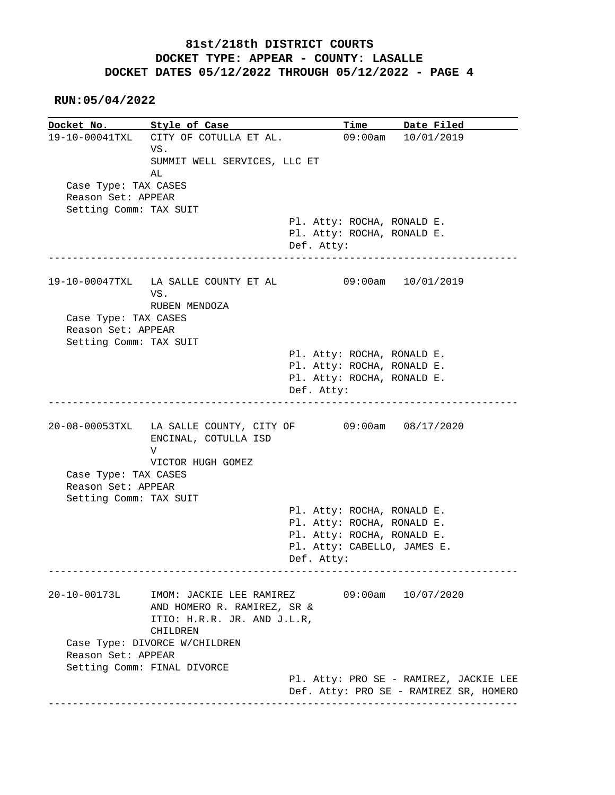**RUN:05/04/2022**

**Docket No. Style of Case Time Date Filed**<br>19-10-00041TXL CITY OF COTULLA ET AL. 09:00am 10/01/2019 19-10-00041TXL CITY OF COTULLA ET AL. VS. SUMMIT WELL SERVICES, LLC ET AL Case Type: TAX CASES Reason Set: APPEAR Setting Comm: TAX SUIT Pl. Atty: ROCHA, RONALD E. Pl. Atty: ROCHA, RONALD E. Def. Atty: ------------------------------------------------------------------------------ 19-10-00047TXL LA SALLE COUNTY ET AL 09:00am 10/01/2019 VS. RUBEN MENDOZA Case Type: TAX CASES Reason Set: APPEAR Setting Comm: TAX SUIT Pl. Atty: ROCHA, RONALD E. Pl. Atty: ROCHA, RONALD E. Pl. Atty: ROCHA, RONALD E. Def. Atty: ------------------------------------------------------------------------------ 20-08-00053TXL LA SALLE COUNTY, CITY OF 09:00am 08/17/2020 ENCINAL, COTULLA ISD V VICTOR HUGH GOMEZ Case Type: TAX CASES Reason Set: APPEAR Setting Comm: TAX SUIT Pl. Atty: ROCHA, RONALD E. Pl. Atty: ROCHA, RONALD E. Pl. Atty: ROCHA, RONALD E. Pl. Atty: CABELLO, JAMES E. Def. Atty: ------------------------------------------------------------------------------ 20-10-00173L IMOM: JACKIE LEE RAMIREZ 09:00am 10/07/2020 AND HOMERO R. RAMIREZ, SR & ITIO: H.R.R. JR. AND J.L.R, CHILDREN Case Type: DIVORCE W/CHILDREN Reason Set: APPEAR Setting Comm: FINAL DIVORCE Pl. Atty: PRO SE - RAMIREZ, JACKIE LEE Def. Atty: PRO SE - RAMIREZ SR, HOMERO ------------------------------------------------------------------------------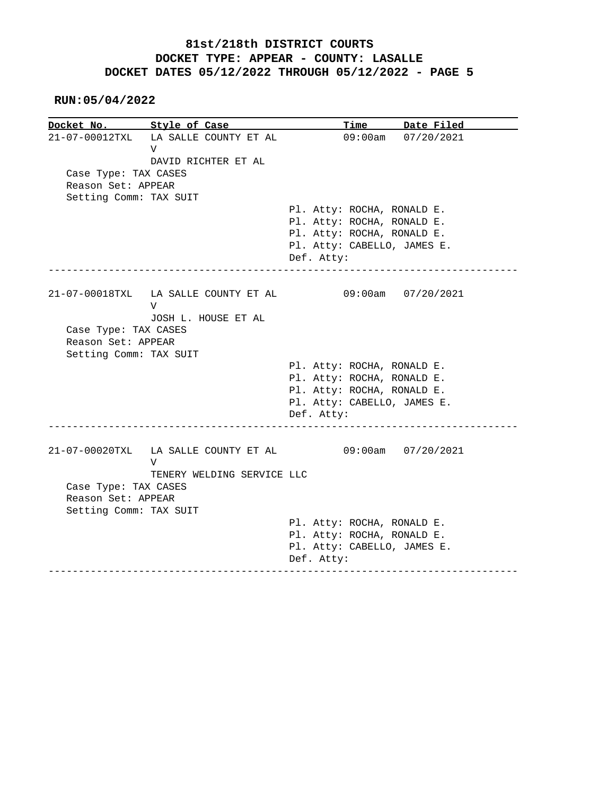**RUN:05/04/2022**

|                                            | Docket No. Style of Case                  | <b>Time</b><br>Date Filed                                 |  |
|--------------------------------------------|-------------------------------------------|-----------------------------------------------------------|--|
|                                            | 21-07-00012TXL LA SALLE COUNTY ET AL<br>V | 09:00am 07/20/2021                                        |  |
|                                            | DAVID RICHTER ET AL                       |                                                           |  |
| Case Type: TAX CASES<br>Reason Set: APPEAR |                                           |                                                           |  |
| Setting Comm: TAX SUIT                     |                                           |                                                           |  |
|                                            |                                           | Pl. Atty: ROCHA, RONALD E.                                |  |
|                                            |                                           | Pl. Atty: ROCHA, RONALD E.                                |  |
|                                            |                                           | Pl. Atty: ROCHA, RONALD E.                                |  |
|                                            |                                           | Pl. Atty: CABELLO, JAMES E.                               |  |
|                                            |                                           | Def. Atty:<br>________________________                    |  |
|                                            |                                           | 21-07-00018TXL LA SALLE COUNTY ET AL 09:00am 07/20/2021   |  |
|                                            | V                                         |                                                           |  |
|                                            | JOSH L. HOUSE ET AL                       |                                                           |  |
| Case Type: TAX CASES                       |                                           |                                                           |  |
|                                            |                                           |                                                           |  |
| Reason Set: APPEAR                         |                                           |                                                           |  |
| Setting Comm: TAX SUIT                     |                                           |                                                           |  |
|                                            |                                           | Pl. Atty: ROCHA, RONALD E.                                |  |
|                                            |                                           | Pl. Atty: ROCHA, RONALD E.                                |  |
|                                            |                                           | Pl. Atty: ROCHA, RONALD E.                                |  |
|                                            |                                           | Pl. Atty: CABELLO, JAMES E.                               |  |
|                                            |                                           | Def. Atty:                                                |  |
|                                            |                                           | 21-07-00020TXL LA SALLE COUNTY ET AL 09:00am 07/20/2021   |  |
|                                            | V                                         |                                                           |  |
|                                            | TENERY WELDING SERVICE LLC                |                                                           |  |
| Case Type: TAX CASES<br>Reason Set: APPEAR |                                           |                                                           |  |
|                                            |                                           |                                                           |  |
| Setting Comm: TAX SUIT                     |                                           |                                                           |  |
|                                            |                                           | Pl. Atty: ROCHA, RONALD E.                                |  |
|                                            |                                           | Pl. Atty: ROCHA, RONALD E.<br>Pl. Atty: CABELLO, JAMES E. |  |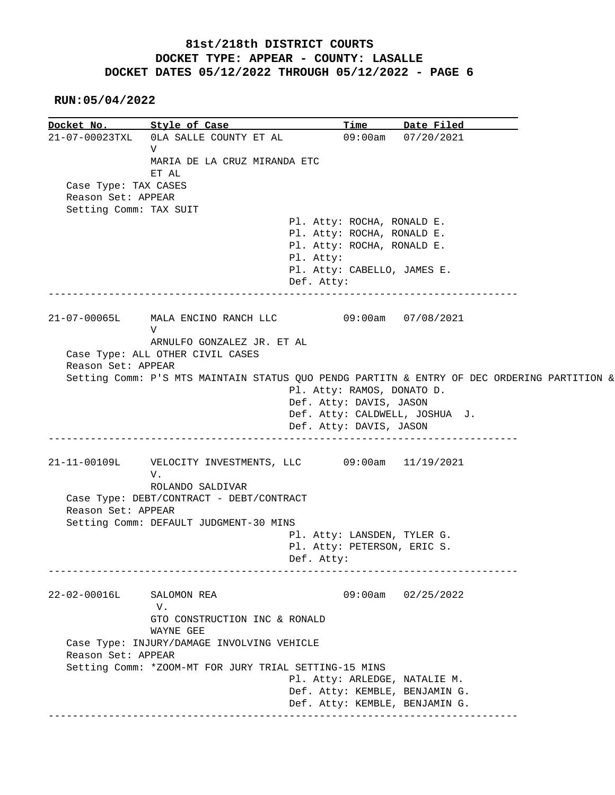**RUN:05/04/2022**

**Docket No. Style of Case Time Date Filed**  21-07-00023TXL 0LA SALLE COUNTY ET AL 09:00am 07/20/2021 V MARIA DE LA CRUZ MIRANDA ETC ET AL Case Type: TAX CASES Reason Set: APPEAR Setting Comm: TAX SUIT Pl. Atty: ROCHA, RONALD E. Pl. Atty: ROCHA, RONALD E. Pl. Atty: ROCHA, RONALD E. Pl. Atty: Pl. Atty: CABELLO, JAMES E. Def. Atty: ------------------------------------------------------------------------------ 21-07-00065L MALA ENCINO RANCH LLC 09:00am 07/08/2021 V ARNULFO GONZALEZ JR. ET AL Case Type: ALL OTHER CIVIL CASES Reason Set: APPEAR Setting Comm: P'S MTS MAINTAIN STATUS QUO PENDG PARTITN & ENTRY OF DEC ORDERING PARTITION & Pl. Atty: RAMOS, DONATO D. Def. Atty: DAVIS, JASON Def. Atty: CALDWELL, JOSHUA J. Def. Atty: DAVIS, JASON ------------------------------------------------------------------------------ 21-11-00109L VELOCITY INVESTMENTS, LLC 09:00am 11/19/2021 V. ROLANDO SALDIVAR Case Type: DEBT/CONTRACT - DEBT/CONTRACT Reason Set: APPEAR Setting Comm: DEFAULT JUDGMENT-30 MINS Pl. Atty: LANSDEN, TYLER G. Pl. Atty: PETERSON, ERIC S. Def. Atty: ------------------------------------------------------------------------------ 22-02-00016L SALOMON REA 09:00am 02/25/2022 V. GTO CONSTRUCTION INC & RONALD WAYNE GEE Case Type: INJURY/DAMAGE INVOLVING VEHICLE Reason Set: APPEAR Setting Comm: \*ZOOM-MT FOR JURY TRIAL SETTING-15 MINS Pl. Atty: ARLEDGE, NATALIE M. Def. Atty: KEMBLE, BENJAMIN G. Def. Atty: KEMBLE, BENJAMIN G. ------------------------------------------------------------------------------